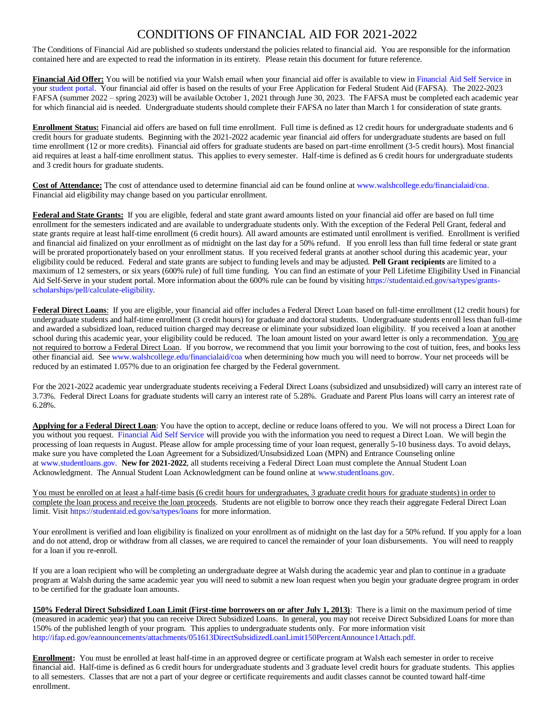## CONDITIONS OF FINANCIAL AID FOR 2021-2022

The Conditions of Financial Aid are published so students understand the policies related to financial aid. You are responsible for the information contained here and are expected to read the information in its entirety. Please retain this document for future reference.

**Financial Aid Offer:** You will be notified via your Walsh email when your financial aid offer is available to view i[n Financial Aid Self Service](https://www.walshcollege.edu/upload/docs/Financial_Aid/Financial_Aid_Steps.pdf) in you[r student portal.](https://academicadfs.walshcollege.edu/adfs/ls/?wa=wsignin1.0&wtrealm=urn%3amy.walshcollege.edu%3a443&wctx=https%3a%2f%2fmy.walshcollege.edu%2f_layouts%2f15%2fAuthenticate.aspx%3fSource%3d%252F&wreply=https%3a%2f%2fmy.walshcollege.edu%2f_trust%2fdefault.aspx) Your financial aid offer is based on the results of your Free Application for Federal Student Aid (FAFSA). The 2022-2023 FAFSA (summer 2022 – spring 2023) will be available October 1, 2021 through June 30, 2023. The FAFSA must be completed each academic year for which financial aid is needed. Undergraduate students should complete their FAFSA no later than March 1 for consideration of state grants.

**Enrollment Status:** Financial aid offers are based on full time enrollment. Full time is defined as 12 credit hours for undergraduate students and 6 credit hours for graduate students. Beginning with the 2021-2022 academic year financial aid offers for undergraduate students are based on full time enrollment (12 or more credits). Financial aid offers for graduate students are based on part-time enrollment (3-5 credit hours). Most financial aid requires at least a half-time enrollment status. This applies to every semester. Half-time is defined as 6 credit hours for undergraduate students and 3 credit hours for graduate students.

**Cost of Attendance:** The cost of attendance used to determine financial aid can be found online a[t www.walshcollege.edu/financialaid/coa.](http://www.walshcollege.edu/financialaid/coa)  Financial aid eligibility may change based on you particular enrollment.

Federal and State Grants: If you are eligible, federal and state grant award amounts listed on your financial aid offer are based on full time enrollment for the semesters indicated and are available to undergraduate students only. With the exception of the Federal Pell Grant, federal and state grants require at least half-time enrollment (6 credit hours). All award amounts are estimated until enrollment is verified. Enrollment is verified and financial aid finalized on your enrollment as of midnight on the last day for a 50% refund. If you enroll less than full time federal or state grant will be prorated proportionately based on your enrollment status. If you received federal grants at another school during this academic year, your eligibility could be reduced. Federal and state grants are subject to funding levels and may be adjusted. **Pell Grant recipients** are limited to a maximum of 12 semesters, or six years (600% rule) of full time funding. You can find an estimate of your Pell Lifetime Eligibility Used in Financial Aid Self-Serve in your student portal. More information about the 600% rule can be found by visitin[g https://studentaid.ed.gov/sa/types/grants](https://studentaid.ed.gov/sa/types/grants-scholarships/pell/calculate-eligibility)[scholarships/pell/calculate-eligibility.](https://studentaid.ed.gov/sa/types/grants-scholarships/pell/calculate-eligibility)

**Federal Direct Loans**: If you are eligible, your financial aid offer includes a Federal Direct Loan based on full-time enrollment (12 credit hours) for undergraduate students and half-time enrollment (3 credit hours) for graduate and doctoral students. Undergraduate students enroll less than full-time and awarded a subsidized loan, reduced tuition charged may decrease or eliminate your subsidized loan eligibility. If you received a loan at another school during this academic year, your eligibility could be reduced. The loan amount listed on your award letter is only a recommendation. You are not required to borrow a Federal Direct Loan. If you borrow, we recommend that you limit your borrowing to the cost of tuition, fees, and books less other financial aid. See [www.walshcollege.edu/financialaid/coa](http://www.walshcollege.edu/financialaid/coa) when determining how much you will need to borrow. Your net proceeds will be reduced by an estimated 1.057% due to an origination fee charged by the Federal government.

For the 2021-2022 academic year undergraduate students receiving a Federal Direct Loans (subsidized and unsubsidized) will carry an interest rate of 3.73%. Federal Direct Loans for graduate students will carry an interest rate of 5.28%. Graduate and Parent Plus loans will carry an interest rate of 6.28%.

**Applying for a Federal Direct Loan**: You have the option to accept, decline or reduce loans offered to you. We will not process a Direct Loan for you without you request. [Financial Aid Self Service](https://www.walshcollege.edu/upload/docs/Financial_Aid/Financial_Aid_Steps.pdf) will provide you with the information you need to request a Direct Loan. We will begin the processing of loan requests in August. Please allow for ample processing time of your loan request, generally 5-10 business days. To avoid delays, make sure you have completed the Loan Agreement for a Subsidized/Unsubsidized Loan (MPN) and Entrance Counseling online at [www.studentloans.gov.](http://www.studentloans.gov/) **New for 2021-2022**, all students receiving a Federal Direct Loan must complete the Annual Student Loan Acknowledgment. The Annual Student Loan Acknowledgment can be found online a[t www.studentloans.gov.](http://www.studentloans.gov/)

You must be enrolled on at least a half-time basis (6 credit hours for undergraduates, 3 graduate credit hours for graduate students) in order to complete the loan process and receive the loan proceeds*.* Students are not eligible to borrow once they reach their aggregate Federal Direct Loan limit. Visi[t https://studentaid.ed.gov/sa/types/loans](https://studentaid.ed.gov/sa/types/loans) for more information.

Your enrollment is verified and loan eligibility is finalized on your enrollment as of midnight on the last day for a 50% refund. If you apply for a loan and do not attend, drop or withdraw from all classes, we are required to cancel the remainder of your loan disbursements. You will need to reapply for a loan if you re-enroll.

If you are a loan recipient who will be completing an undergraduate degree at Walsh during the academic year and plan to continue in a graduate program at Walsh during the same academic year you will need to submit a new loan request when you begin your graduate degree program in order to be certified for the graduate loan amounts.

**150% Federal Direct Subsidized Loan Limit (First-time borrowers on or after July 1, 2013)**: There is a limit on the maximum period of time (measured in academic year) that you can receive Direct Subsidized Loans. In general, you may not receive Direct Subsidized Loans for more than 150% of the published length of your program. This applies to undergraduate students only. For more information visit [http://ifap.ed.gov/eannouncements/attachments/051613DirectSubsidizedLoanLimit150PercentAnnounce1Attach.pdf.](http://ifap.ed.gov/eannouncements/attachments/051613DirectSubsidizedLoanLimit150PercentAnnounce1Attach.pdf)

**Enrollment:** You must be enrolled at least half-time in an approved degree or certificate program at Walsh each semester in order to receive financial aid. Half-time is defined as 6 credit hours for undergraduate students and 3 graduate level credit hours for graduate students. This applies to all semesters. Classes that are not a part of your degree or certificate requirements and audit classes cannot be counted toward half-time enrollment.